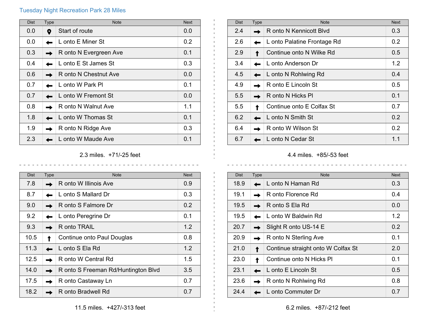## Tuesday Night Recreation Park 28 Miles

| <b>Dist</b> | <b>Type</b> | <b>Note</b>            | <b>Next</b> |
|-------------|-------------|------------------------|-------------|
| 0.0         | 9           | Start of route         | 0.0         |
| 0.0         |             | L onto E Miner St      | 0.2         |
| 0.3         |             | R onto N Evergreen Ave | 0.1         |
| 0.4         |             | L onto E St James St   | 0.3         |
| 0.6         |             | R onto N Chestnut Ave  | 0.0         |
| 0.7         |             | L onto W Park Pl       | 0.1         |
| 0.7         |             | L onto W Fremont St    | 0.0         |
| 0.8         |             | R onto N Walnut Ave    | 1.1         |
| 1.8         |             | L onto W Thomas St     | 0.1         |
| 1.9         |             | R onto N Ridge Ave     | 0.3         |
| 2.3         |             | L onto W Maude Ave     | 0.1         |

## 2.3 miles. +71/-25 feet

 $\frac{1}{2}$ 

 $\frac{1}{2}$ 

 $\frac{1}{2}$ 

| <b>Dist</b> | <b>Type</b> | <b>Note</b>                         | <b>Next</b> |
|-------------|-------------|-------------------------------------|-------------|
| 7.8         |             | R onto W Illinois Ave               | 0.9         |
| 8.7         |             | L onto S Mallard Dr                 | 0.3         |
| 9.0         |             | R onto S Falmore Dr                 | 0.2         |
| 9.2         |             | L onto Peregrine Dr                 | 0.1         |
| 9.3         |             | R onto TRAIL                        | 1.2         |
| 10.5        |             | Continue onto Paul Douglas          | 0.8         |
| 11.3        |             | L onto S Ela Rd                     | 1.2         |
| 12.5        |             | R onto W Central Rd                 | 1.5         |
| 14.0        |             | R onto S Freeman Rd/Huntington Blvd | 3.5         |
| 17.5        |             | R onto Castaway Ln                  | 0.7         |
| 18.2        |             | R onto Bradwell Rd                  | 0.7         |

| <b>Dist</b> | Type | <b>Note</b>                 | <b>Next</b>      |
|-------------|------|-----------------------------|------------------|
| 2.4         |      | R onto N Kennicott Blvd     | 0.3              |
| 2.6         |      | L onto Palatine Frontage Rd | 0.2 <sub>0</sub> |
| 2.9         |      | Continue onto N Wilke Rd    | 0.5              |
| 3.4         |      | L onto Anderson Dr          | 1.2              |
| 4.5         |      | L onto N Rohlwing Rd        | 0.4              |
| 4.9         |      | R onto E Lincoln St         | 0.5              |
| 5.5         |      | R onto N Hicks Pl           | 0.1              |
| 5.5         |      | Continue onto E Colfax St   | 0.7              |
| 6.2         |      | L onto N Smith St           | 0.2              |
| 6.4         |      | R onto W Wilson St          | 0.2              |
| 6.7         |      | L onto N Cedar St           | 1.1              |

4.4 miles. +85/-53 feet

| <b>Dist</b> | Type | <b>Note</b>                        | <b>Next</b> |
|-------------|------|------------------------------------|-------------|
| 18.9        |      | L onto N Haman Rd                  | 0.3         |
| 19.1        |      | R onto Florence Rd                 | 0.4         |
| 19.5        |      | R onto S Ela Rd                    | 0.0         |
| 19.5        |      | L onto W Baldwin Rd                | 1.2         |
| 20.7        |      | Slight R onto US-14 E              | 0.2         |
| 20.9        |      | R onto N Sterling Ave              | 0.1         |
| 21.0        |      | Continue straight onto W Colfax St | 2.0         |
| 23.0        |      | Continue onto N Hicks PI           | 0.1         |
| 23.1        |      | L onto E Lincoln St                | 0.5         |
| 23.6        |      | R onto N Rohlwing Rd               | 0.8         |
| 24.4        |      | L onto Commuter Dr                 | 0.7         |